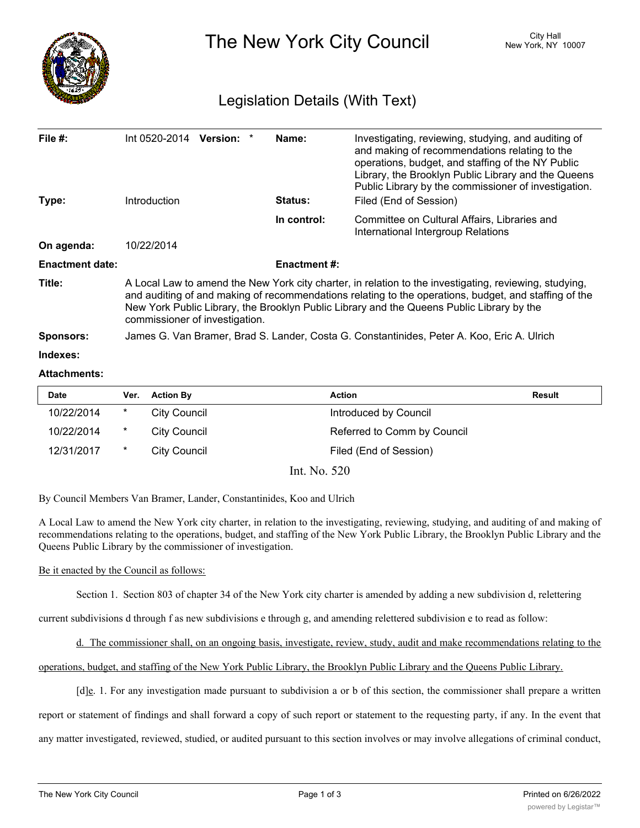

The New York City Council New York, NY 10007

## Legislation Details (With Text)

| File $#$ :<br>Type:    | $Int 0520-2014$ Version: $*$<br>Introduction                                                                                                                                                                                                                                                                                                   |  |  | Name:<br><b>Status:</b> | Investigating, reviewing, studying, and auditing of<br>and making of recommendations relating to the<br>operations, budget, and staffing of the NY Public<br>Library, the Brooklyn Public Library and the Queens<br>Public Library by the commissioner of investigation.<br>Filed (End of Session) |
|------------------------|------------------------------------------------------------------------------------------------------------------------------------------------------------------------------------------------------------------------------------------------------------------------------------------------------------------------------------------------|--|--|-------------------------|----------------------------------------------------------------------------------------------------------------------------------------------------------------------------------------------------------------------------------------------------------------------------------------------------|
|                        |                                                                                                                                                                                                                                                                                                                                                |  |  | In control:             | Committee on Cultural Affairs, Libraries and<br>International Intergroup Relations                                                                                                                                                                                                                 |
| On agenda:             | 10/22/2014                                                                                                                                                                                                                                                                                                                                     |  |  |                         |                                                                                                                                                                                                                                                                                                    |
| <b>Enactment date:</b> |                                                                                                                                                                                                                                                                                                                                                |  |  | <b>Enactment #:</b>     |                                                                                                                                                                                                                                                                                                    |
| Title:                 | A Local Law to amend the New York city charter, in relation to the investigating, reviewing, studying,<br>and auditing of and making of recommendations relating to the operations, budget, and staffing of the<br>New York Public Library, the Brooklyn Public Library and the Queens Public Library by the<br>commissioner of investigation. |  |  |                         |                                                                                                                                                                                                                                                                                                    |
| <b>Sponsors:</b>       | James G. Van Bramer, Brad S. Lander, Costa G. Constantinides, Peter A. Koo, Eric A. Ulrich                                                                                                                                                                                                                                                     |  |  |                         |                                                                                                                                                                                                                                                                                                    |
| Indexes:               |                                                                                                                                                                                                                                                                                                                                                |  |  |                         |                                                                                                                                                                                                                                                                                                    |
| <b>Attachments:</b>    |                                                                                                                                                                                                                                                                                                                                                |  |  |                         |                                                                                                                                                                                                                                                                                                    |

# **Date Ver. Action By Action Result** 10/22/2014 \* City Council Council Council Council Council Council 10/22/2014 \* City Council Referred to Comm by Council 12/31/2017 \* City Council **Filed (End of Session)**

Int. No. 520

By Council Members Van Bramer, Lander, Constantinides, Koo and Ulrich

A Local Law to amend the New York city charter, in relation to the investigating, reviewing, studying, and auditing of and making of recommendations relating to the operations, budget, and staffing of the New York Public Library, the Brooklyn Public Library and the Queens Public Library by the commissioner of investigation.

#### Be it enacted by the Council as follows:

Section 1. Section 803 of chapter 34 of the New York city charter is amended by adding a new subdivision d, relettering

current subdivisions d through f as new subdivisions e through g, and amending relettered subdivision e to read as follow:

d. The commissioner shall, on an ongoing basis, investigate, review, study, audit and make recommendations relating to the

operations, budget, and staffing of the New York Public Library, the Brooklyn Public Library and the Queens Public Library.

 $[d]_e$ . 1. For any investigation made pursuant to subdivision a or b of this section, the commissioner shall prepare a written

report or statement of findings and shall forward a copy of such report or statement to the requesting party, if any. In the event that

any matter investigated, reviewed, studied, or audited pursuant to this section involves or may involve allegations of criminal conduct,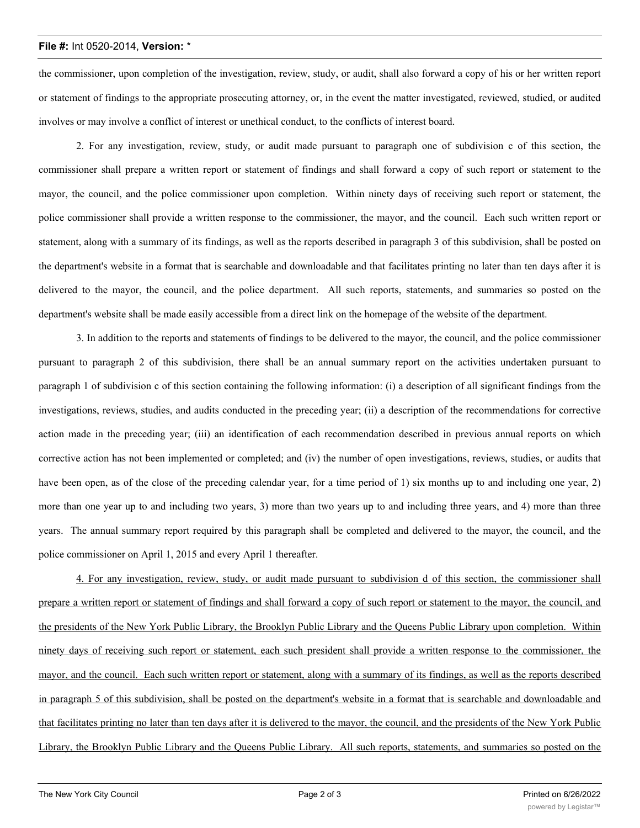#### **File #:** Int 0520-2014, **Version:** \*

the commissioner, upon completion of the investigation, review, study, or audit, shall also forward a copy of his or her written report or statement of findings to the appropriate prosecuting attorney, or, in the event the matter investigated, reviewed, studied, or audited involves or may involve a conflict of interest or unethical conduct, to the conflicts of interest board.

2. For any investigation, review, study, or audit made pursuant to paragraph one of subdivision c of this section, the commissioner shall prepare a written report or statement of findings and shall forward a copy of such report or statement to the mayor, the council, and the police commissioner upon completion. Within ninety days of receiving such report or statement, the police commissioner shall provide a written response to the commissioner, the mayor, and the council. Each such written report or statement, along with a summary of its findings, as well as the reports described in paragraph 3 of this subdivision, shall be posted on the department's website in a format that is searchable and downloadable and that facilitates printing no later than ten days after it is delivered to the mayor, the council, and the police department. All such reports, statements, and summaries so posted on the department's website shall be made easily accessible from a direct link on the homepage of the website of the department.

3. In addition to the reports and statements of findings to be delivered to the mayor, the council, and the police commissioner pursuant to paragraph 2 of this subdivision, there shall be an annual summary report on the activities undertaken pursuant to paragraph 1 of subdivision c of this section containing the following information: (i) a description of all significant findings from the investigations, reviews, studies, and audits conducted in the preceding year; (ii) a description of the recommendations for corrective action made in the preceding year; (iii) an identification of each recommendation described in previous annual reports on which corrective action has not been implemented or completed; and (iv) the number of open investigations, reviews, studies, or audits that have been open, as of the close of the preceding calendar year, for a time period of 1) six months up to and including one year, 2) more than one year up to and including two years, 3) more than two years up to and including three years, and 4) more than three years. The annual summary report required by this paragraph shall be completed and delivered to the mayor, the council, and the police commissioner on April 1, 2015 and every April 1 thereafter.

4. For any investigation, review, study, or audit made pursuant to subdivision d of this section, the commissioner shall prepare a written report or statement of findings and shall forward a copy of such report or statement to the mayor, the council, and the presidents of the New York Public Library, the Brooklyn Public Library and the Queens Public Library upon completion. Within ninety days of receiving such report or statement, each such president shall provide a written response to the commissioner, the mayor, and the council. Each such written report or statement, along with a summary of its findings, as well as the reports described in paragraph 5 of this subdivision, shall be posted on the department's website in a format that is searchable and downloadable and that facilitates printing no later than ten days after it is delivered to the mayor, the council, and the presidents of the New York Public Library, the Brooklyn Public Library and the Queens Public Library. All such reports, statements, and summaries so posted on the